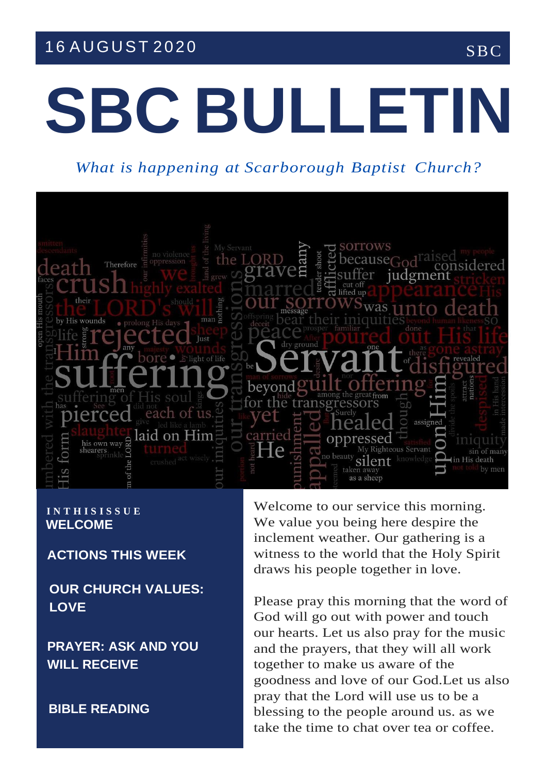## 16 AUGUST 2020 SBC

# **SBC BULLETIN**

*What is happening at Scarborough Baptist Church?*



### **I N T H I S I S S U E WELCOME**

**ACTIONS THIS WEEK**

**OUR CHURCH VALUES: LOVE**

**PRAYER: ASK AND YOU WILL RECEIVE**

**BIBLE READING**

Welcome to our service this morning. We value you being here despire the inclement weather. Our gathering is a witness to the world that the Holy Spirit draws his people together in love.

Please pray this morning that the word of God will go out with power and touch our hearts. Let us also pray for the music and the prayers, that they will all work together to make us aware of the goodness and love of our God.Let us also pray that the Lord will use us to be a blessing to the people around us. as we take the time to chat over tea or coffee.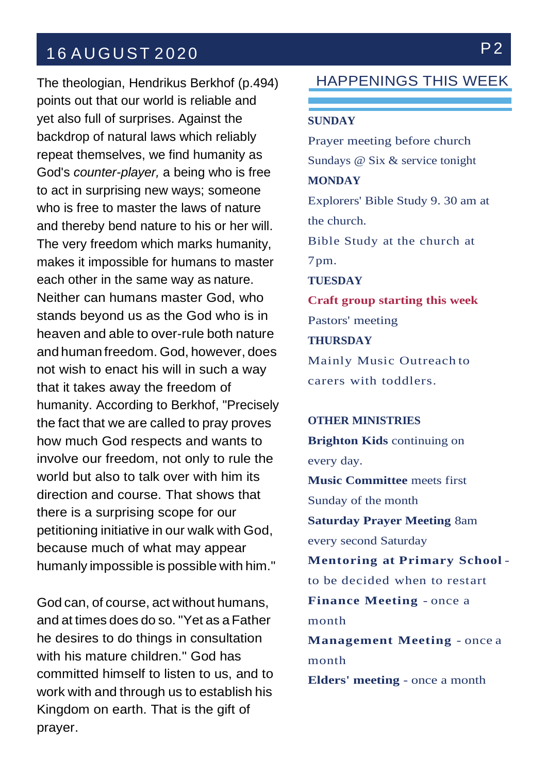## 16 AUGUST 2020 P2

The theologian, Hendrikus Berkhof (p.494) points out that our world is reliable and yet also full of surprises. Against the backdrop of natural laws which reliably repeat themselves, we find humanity as God's *counter-player,* a being who is free to act in surprising new ways; someone who is free to master the laws of nature and thereby bend nature to his or her will. The very freedom which marks humanity, makes it impossible for humans to master each other in the same way as nature. Neither can humans master God, who stands beyond us as the God who is in heaven and able to over-rule both nature and human freedom. God, however, does not wish to enact his will in such a way that it takes away the freedom of humanity. According to Berkhof, "Precisely the fact that we are called to pray proves how much God respects and wants to involve our freedom, not only to rule the world but also to talk over with him its direction and course. That shows that there is a surprising scope for our petitioning initiative in our walk with God, because much of what may appear humanly impossible is possible with him."

God can, of course, act without humans, and at times does do so. "Yet as a Father he desires to do things in consultation with his mature children." God has committed himself to listen to us, and to work with and through us to establish his Kingdom on earth. That is the gift of prayer.

HAPPENINGS THIS WEEK

### **SUNDAY**

Prayer meeting before church Sundays @ Six & service tonight **MONDAY** Explorers' Bible Study 9. 30 am at the church. Bible Study at the church at 7pm. **TUESDAY Craft group starting this week** Pastors' meeting **THURSDAY** Mainly Music Outreach to carers with toddlers.

#### **OTHER MINISTRIES**

**Brighton Kids** continuing on every day.

**Music Committee** meets first Sunday of the month **Saturday Prayer Meeting** 8am every second Saturday **Mentoring at Primary School** to be decided when to restart **Finance Meeting** - once a month **Management Meeting** - once a month **Elders' meeting** - once a month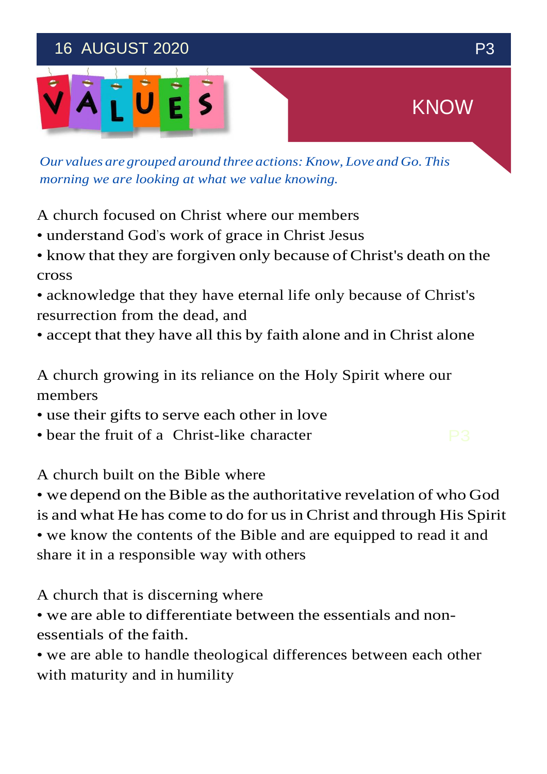## 16 AUGUST 2020 P3



*Our values are grouped around three actions:Know, Love and Go. This morning we are looking at what we value knowing.*

A church focused on Christ where our members

- understand God's work of grace in Christ Jesus
- know that they are forgiven only because of Christ's death on the cross
- acknowledge that they have eternal life only because of Christ's resurrection from the dead, and
- accept that they have all this by faith alone and in Christ alone

A church growing in its reliance on the Holy Spirit where our members

- use their gifts to serve each other in love
- bear the fruit of a Christ-like character  $\Box$

A church built on the Bible where

• we depend on the Bible as the authoritative revelation of who God is and what He has come to do for us in Christ and through His Spirit

• we know the contents of the Bible and are equipped to read it and share it in a responsible way with others

A church that is discerning where

• we are able to differentiate between the essentials and nonessentials of the faith.

• we are able to handle theological differences between each other with maturity and in humility

KNOW